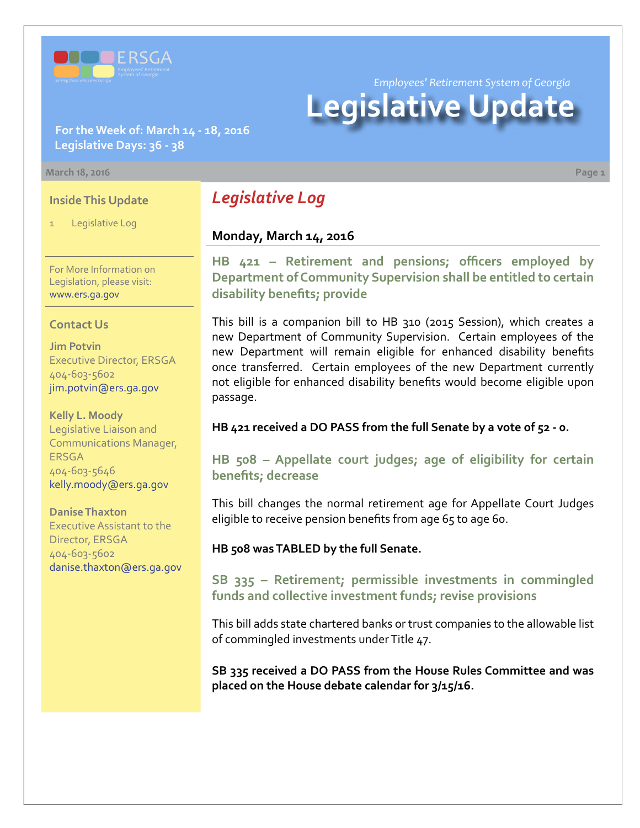

*Employees' Retirement System of Georgia*

# **Legislative Update**

## **For the Week of: March 14 - 18, 2016 Legislative Days: 36 - 38**

#### **March 18, 2016 Page 1**

### **Inside This Update**

Legislative Log

For More Information on Legislation, please visit: [www.ers.ga.gov](http://www.ers.ga.gov/default.aspx)

#### **Contact Us**

**Jim Potvin** Executive Director, ERSGA 404-603-5602 jim.potvin@ers.ga.gov

**Kelly L. Moody** Legislative Liaison and Communications Manager, **ERSGA** 404-603-5646 kelly.moody@ers.ga.gov

#### **Danise Thaxton**

Executive Assistant to the Director, ERSGA 404-603-5602 danise.thaxton@ers.ga.gov

# *Legislative Log*

## **Monday, March 14, 2016**

**HB [421 –](http://www.legis.ga.gov/legislation/en-US/Display/20152016/HB/421) Retirement and pensions; officers employed by Department of Community Supervision shall be entitled to certain disability benefits; provide**

This bill is a companion bill to HB 310 (2015 Session), which creates a new Department of Community Supervision. Certain employees of the new Department will remain eligible for enhanced disability benefits once transferred. Certain employees of the new Department currently not eligible for enhanced disability benefits would become eligible upon passage.

#### **HB 421 received a DO PASS from the full Senate by a vote of 52 - 0.**

**HB [508 –](http://www.legis.ga.gov/legislation/en-US/Display/20152016/HB/508) Appellate court judges; age of eligibility for certain benefits; decrease**

This bill changes the normal retirement age for Appellate Court Judges eligible to receive pension benefits from age 65 to age 60.

#### **HB 508 was TABLED by the full Senate.**

**S[B 335 –](http://www.legis.ga.gov/legislation/en-US/Display/20152016/SB/335) Retirement; permissible investments in commingled funds and collective investment funds; revise provisions**

This bill adds state chartered banks or trust companies to the allowable list of commingled investments under Title 47.

**SB 335 received a DO PASS from the House Rules Committee and was placed on the House debate calendar for 3/15/16.**